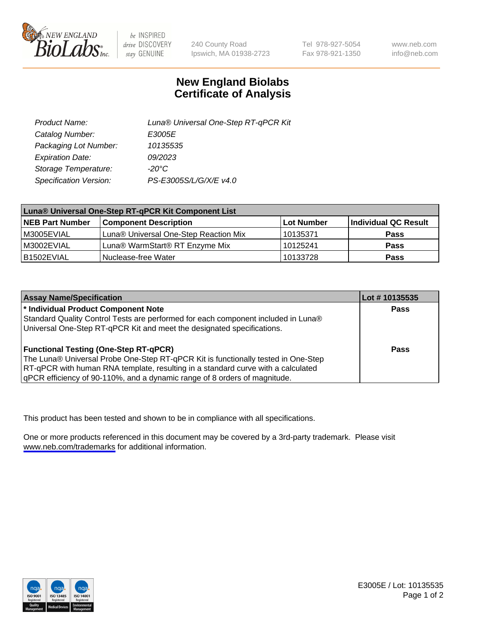

be INSPIRED drive DISCOVERY stay GENUINE

240 County Road Ipswich, MA 01938-2723 Tel 978-927-5054 Fax 978-921-1350

www.neb.com info@neb.com

## **New England Biolabs Certificate of Analysis**

| Product Name:           | Luna® Universal One-Step RT-qPCR Kit |
|-------------------------|--------------------------------------|
| Catalog Number:         | E3005E                               |
| Packaging Lot Number:   | 10135535                             |
| <b>Expiration Date:</b> | 09/2023                              |
| Storage Temperature:    | $-20^{\circ}$ C                      |
| Specification Version:  | PS-E3005S/L/G/X/E v4.0               |

| Luna® Universal One-Step RT-qPCR Kit Component List |                                       |            |                      |
|-----------------------------------------------------|---------------------------------------|------------|----------------------|
| <b>NEB Part Number</b>                              | <b>Component Description</b>          | Lot Number | Individual QC Result |
| IM3005EVIAL                                         | Luna® Universal One-Step Reaction Mix | 10135371   | Pass                 |
| M3002EVIAL                                          | Luna® WarmStart® RT Enzyme Mix        | 10125241   | <b>Pass</b>          |
| B1502EVIAL                                          | Nuclease-free Water                   | 10133728   | <b>Pass</b>          |

| <b>Assay Name/Specification</b>                                                   | Lot # 10135535 |
|-----------------------------------------------------------------------------------|----------------|
| * Individual Product Component Note                                               | Pass           |
| Standard Quality Control Tests are performed for each component included in Luna® |                |
| Universal One-Step RT-qPCR Kit and meet the designated specifications.            |                |
| <b>Functional Testing (One-Step RT-qPCR)</b>                                      | Pass           |
| The Luna® Universal Probe One-Step RT-qPCR Kit is functionally tested in One-Step |                |
| RT-qPCR with human RNA template, resulting in a standard curve with a calculated  |                |
| gPCR efficiency of 90-110%, and a dynamic range of 8 orders of magnitude.         |                |

This product has been tested and shown to be in compliance with all specifications.

One or more products referenced in this document may be covered by a 3rd-party trademark. Please visit <www.neb.com/trademarks>for additional information.